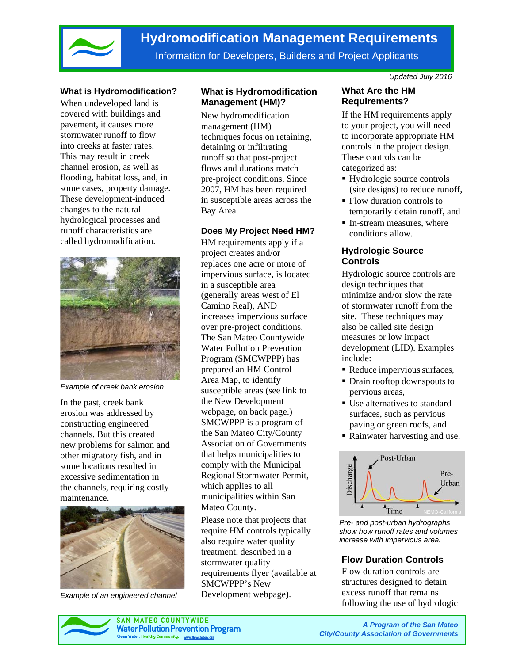

# **Hydromodification Management Requirements**

Information for Developers, Builders and Project Applicants

#### **What is Hydromodification?**

When undeveloped land is covered with buildings and pavement, it causes more stormwater runoff to flow into creeks at faster rates. This may result in creek channel erosion, as well as flooding, habitat loss, and, in some cases, property damage. These development-induced changes to the natural hydrological processes and runoff characteristics are called hydromodification.



*Example of creek bank erosion* 

In the past, creek bank erosion was addressed by constructing engineered channels. But this created new problems for salmon and other migratory fish, and in some locations resulted in excessive sedimentation in the channels, requiring costly maintenance.



*Example of an engineered channel*

# **What is Hydromodification Management (HM)?**

New hydromodification management (HM) techniques focus on retaining, detaining or infiltrating runoff so that post-project flows and durations match pre-project conditions. Since 2007, HM has been required in susceptible areas across the Bay Area.

#### **Does My Project Need HM?**

HM requirements apply if a project creates and/or replaces one acre or more of impervious surface, is located in a susceptible area (generally areas west of El Camino Real), AND increases impervious surface over pre-project conditions. The San Mateo Countywide Water Pollution Prevention Program (SMCWPPP) has prepared an HM Control Area Map, to identify susceptible areas (see link to the New Development webpage, on back page.) SMCWPPP is a program of the San Mateo City/County Association of Governments that helps municipalities to comply with the Municipal Regional Stormwater Permit, which applies to all municipalities within San Mateo County.

Please note that projects that require HM controls typically also require water quality treatment, described in a stormwater quality requirements flyer (available at SMCWPPP's New Development webpage).

*Updated July 2016* 

# **What Are the HM Requirements?**

If the HM requirements apply to your project, you will need to incorporate appropriate HM controls in the project design. These controls can be categorized as:

- Hydrologic source controls (site designs) to reduce runoff,
- Flow duration controls to temporarily detain runoff, and
- In-stream measures, where conditions allow.

### **Hydrologic Source Controls**

Hydrologic source controls are design techniques that minimize and/or slow the rate of stormwater runoff from the site. These techniques may also be called site design measures or low impact development (LID). Examples include:

- Reduce impervious surfaces,
- Drain rooftop downspouts to pervious areas,
- Use alternatives to standard surfaces, such as pervious paving or green roofs, and
- Rainwater harvesting and use.



*Pre- and post-urban hydrographs show how runoff rates and volumes increase with impervious area.* 

# **Flow Duration Controls**

Flow duration controls are structures designed to detain excess runoff that remains following the use of hydrologic